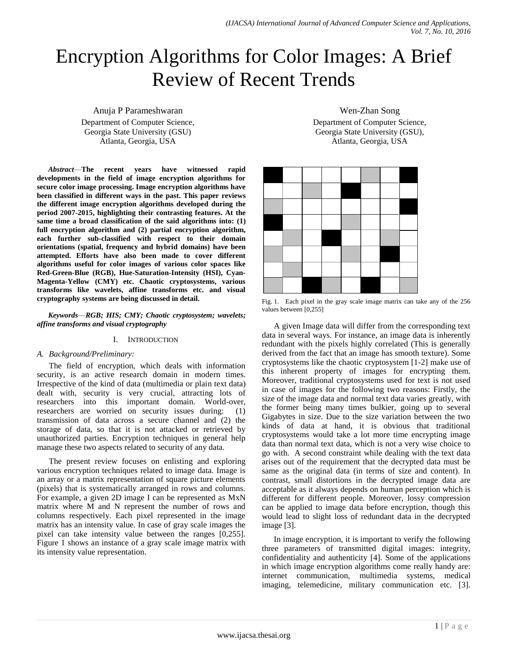# Encryption Algorithms for Color Images: A Brief Review of Recent Trends

Anuja P Parameshwaran Department of Computer Science, Georgia State University (GSU) Atlanta, Georgia, USA

*Abstract*—**The recent years have witnessed rapid developments in the field of image encryption algorithms for secure color image processing. Image encryption algorithms have been classified in different ways in the past. This paper reviews the different image encryption algorithms developed during the period 2007-2015, highlighting their contrasting features. At the same time a broad classification of the said algorithms into: (1) full encryption algorithm and (2) partial encryption algorithm, each further sub-classified with respect to their domain orientations (spatial, frequency and hybrid domains) have been attempted. Efforts have also been made to cover different algorithms useful for color images of various color spaces like Red-Green-Blue (RGB), Hue-Saturation-Intensity (HSI), Cyan-Magenta-Yellow (CMY) etc. Chaotic cryptosystems, various transforms like wavelets, affine transforms etc. and visual cryptography systems are being discussed in detail.**

*Keywords*—*RGB; HIS; CMY; Chaotic cryptosystem; wavelets; affine transforms and visual cryptography*

## I. INTRODUCTION

#### *A. Background/Preliminary:*

The field of encryption, which deals with information security, is an active research domain in modern times. Irrespective of the kind of data (multimedia or plain text data) dealt with, security is very crucial, attracting lots of researchers into this important domain. World-over, researchers are worried on security issues during: (1) transmission of data across a secure channel and (2) the storage of data, so that it is not attacked or retrieved by unauthorized parties. Encryption techniques in general help manage these two aspects related to security of any data.

The present review focuses on enlisting and exploring various encryption techniques related to image data. Image is an array or a matrix representation of square picture elements (pixels) that is systematically arranged in rows and columns. For example, a given 2D image I can be represented as MxN matrix where M and N represent the number of rows and columns respectively. Each pixel represented in the image matrix has an intensity value. In case of gray scale images the pixel can take intensity value between the ranges [0,255]. Figure 1 shows an instance of a gray scale image matrix with its intensity value representation.

Wen-Zhan Song Department of Computer Science, Georgia State University (GSU), Atlanta, Georgia, USA



Fig. 1. Each pixel in the gray scale image matrix can take any of the 256 values between [0,255]

A given Image data will differ from the corresponding text data in several ways. For instance, an image data is inherently redundant with the pixels highly correlated (This is generally derived from the fact that an image has smooth texture). Some cryptosystems like the chaotic cryptosystem [1-2] make use of this inherent property of images for encrypting them. Moreover, traditional cryptosystems used for text is not used in case of images for the following two reasons: Firstly, the size of the image data and normal text data varies greatly, with the former being many times bulkier, going up to several Gigabytes in size. Due to the size variation between the two kinds of data at hand, it is obvious that traditional cryptosystems would take a lot more time encrypting image data than normal text data, which is not a very wise choice to go with. A second constraint while dealing with the text data arises out of the requirement that the decrypted data must be same as the original data (in terms of size and content). In contrast, small distortions in the decrypted image data are acceptable as it always depends on human perception which is different for different people. Moreover, lossy compression can be applied to image data before encryption, though this would lead to slight loss of redundant data in the decrypted image [3].

In image encryption, it is important to verify the following three parameters of transmitted digital images: integrity, confidentiality and authenticity [4]. Some of the applications in which image encryption algorithms come really handy are: internet communication, multimedia systems, medical imaging, telemedicine, military communication etc. [3].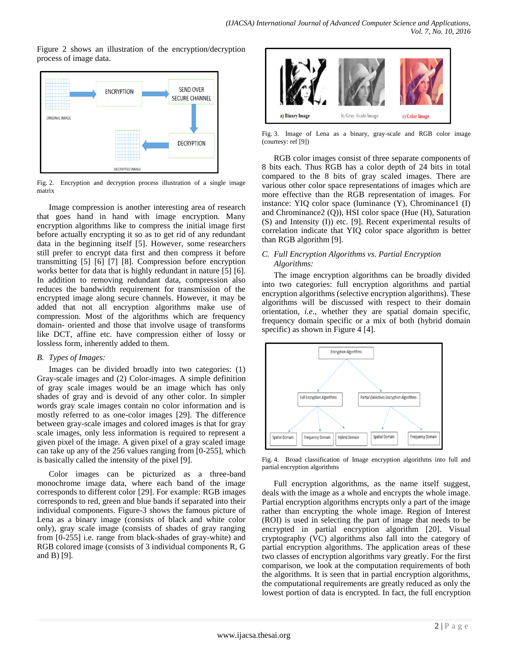Figure 2 shows an illustration of the encryption/decryption process of image data.



Fig. 2. Encryption and decryption process illustration of a single image matrix

Image compression is another interesting area of research that goes hand in hand with image encryption. Many encryption algorithms like to compress the initial image first before actually encrypting it so as to get rid of any redundant data in the beginning itself [5]. However, some researchers still prefer to encrypt data first and then compress it before transmitting [5] [6] [7] [8]. Compression before encryption works better for data that is highly redundant in nature [5] [6]. In addition to removing redundant data, compression also reduces the bandwidth requirement for transmission of the encrypted image along secure channels. However, it may be added that not all encryption algorithms make use of compression. Most of the algorithms which are frequency domain- oriented and those that involve usage of transforms like DCT, affine etc. have compression either of lossy or lossless form, inherently added to them.

## *B. Types of Images:*

Images can be divided broadly into two categories: (1) Gray-scale images and (2) Color-images. A simple definition of gray scale images would be an image which has only shades of gray and is devoid of any other color. In simpler words gray scale images contain no color information and is mostly referred to as one-color images [29]. The difference between gray-scale images and colored images is that for gray scale images, only less information is required to represent a given pixel of the image. A given pixel of a gray scaled image can take up any of the 256 values ranging from [0-255], which is basically called the intensity of the pixel [9].

Color images can be picturized as a three-band monochrome image data, where each band of the image corresponds to different color [29]. For example: RGB images corresponds to red, green and blue bands if separated into their individual components. Figure-3 shows the famous picture of Lena as a binary image (consists of black and white color only), gray scale image (consists of shades of gray ranging from [0-255] i.e. range from black-shades of gray-white) and RGB colored image (consists of 3 individual components R, G and B) [9].



Fig. 3. Image of Lena as a binary, gray-scale and RGB color image (courtesy: ref [9])

RGB color images consist of three separate components of 8 bits each. Thus RGB has a color depth of 24 bits in total compared to the 8 bits of gray scaled images. There are various other color space representations of images which are more effective than the RGB representation of images. For instance: YIQ color space (luminance (Y), Chrominance1 (I) and Chrominance2 (Q)), HSI color space (Hue (H), Saturation (S) and Intensity (I)) etc. [9]. Recent experimental results of correlation indicate that YIQ color space algorithm is better than RGB algorithm [9].

# *C. Full Encryption Algorithms vs. Partial Encryption Algorithms:*

The image encryption algorithms can be broadly divided into two categories: full encryption algorithms and partial encryption algorithms (selective encryption algorithms). These algorithms will be discussed with respect to their domain orientation, *i.e*., whether they are spatial domain specific, frequency domain specific or a mix of both (hybrid domain specific) as shown in Figure 4 [4].



Fig. 4. Broad classification of Image encryption algorithms into full and partial encryption algorithms

Full encryption algorithms, as the name itself suggest, deals with the image as a whole and encrypts the whole image. Partial encryption algorithms encrypts only a part of the image rather than encrypting the whole image. Region of Interest (ROI) is used in selecting the part of image that needs to be encrypted in partial encryption algorithm [20]. Visual cryptography (VC) algorithms also fall into the category of partial encryption algorithms. The application areas of these two classes of encryption algorithms vary greatly. For the first comparison, we look at the computation requirements of both the algorithms. It is seen that in partial encryption algorithms, the computational requirements are greatly reduced as only the lowest portion of data is encrypted. In fact, the full encryption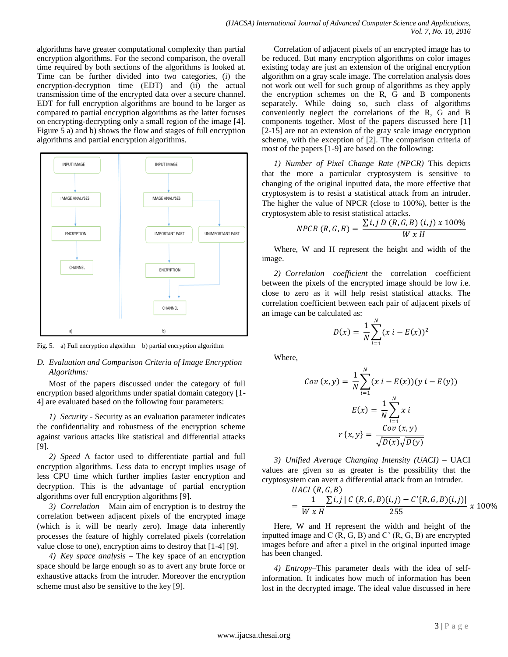algorithms have greater computational complexity than partial encryption algorithms. For the second comparison, the overall time required by both sections of the algorithms is looked at. Time can be further divided into two categories, (i) the encryption-decryption time (EDT) and (ii) the actual transmission time of the encrypted data over a secure channel. EDT for full encryption algorithms are bound to be larger as compared to partial encryption algorithms as the latter focuses on encrypting-decrypting only a small region of the image [4]. Figure 5 a) and b) shows the flow and stages of full encryption algorithms and partial encryption algorithms.



Fig. 5. a) Full encryption algorithm b) partial encryption algorithm

# *D. Evaluation and Comparison Criteria of Image Encryption Algorithms:*

Most of the papers discussed under the category of full encryption based algorithms under spatial domain category [1- 4] are evaluated based on the following four parameters:

*1) Security -* Security as an evaluation parameter indicates the confidentiality and robustness of the encryption scheme against various attacks like statistical and differential attacks [9].

*2) Speed–*A factor used to differentiate partial and full encryption algorithms. Less data to encrypt implies usage of less CPU time which further implies faster encryption and decryption. This is the advantage of partial encryption algorithms over full encryption algorithms [9].

*3) Correlation –* Main aim of encryption is to destroy the correlation between adjacent pixels of the encrypted image (which is it will be nearly zero). Image data inherently processes the feature of highly correlated pixels (correlation value close to one), encryption aims to destroy that [1-4] [9].

*4) Key space analysis –* The key space of an encryption space should be large enough so as to avert any brute force or exhaustive attacks from the intruder. Moreover the encryption scheme must also be sensitive to the key [9].

Correlation of adjacent pixels of an encrypted image has to be reduced. But many encryption algorithms on color images existing today are just an extension of the original encryption algorithm on a gray scale image. The correlation analysis does not work out well for such group of algorithms as they apply the encryption schemes on the R, G and B components separately. While doing so, such class of algorithms conveniently neglect the correlations of the R, G and B components together. Most of the papers discussed here [1] [2-15] are not an extension of the gray scale image encryption scheme, with the exception of [2]. The comparison criteria of most of the papers [1-9] are based on the following:

*1) Number of Pixel Change Rate (NPCR)–*This depicts that the more a particular cryptosystem is sensitive to changing of the original inputted data, the more effective that cryptosystem is to resist a statistical attack from an intruder. The higher the value of NPCR (close to 100%), better is the cryptosystem able to resist statistical attacks.

$$
NPCR(R, G, B) = \frac{\sum i, j D(R, G, B) (i, j) \times 100\%}{W \times H}
$$

Where, W and H represent the height and width of the image.

*2) Correlation coefficient–*the correlation coefficient between the pixels of the encrypted image should be low i.e. close to zero as it will help resist statistical attacks. The correlation coefficient between each pair of adjacent pixels of an image can be calculated as:

$$
D(x) = \frac{1}{N} \sum_{i=1}^{N} (x \, i - E(x))^2
$$

Where,

$$
Cov(x, y) = \frac{1}{N} \sum_{i=1}^{N} (x i - E(x))(y i - E(y))
$$

$$
E(x) = \frac{1}{N} \sum_{i=1}^{N} x i
$$

$$
r\{x, y\} = \frac{Cov(x, y)}{\sqrt{D(x)}\sqrt{D(y)}}
$$

*3) Unified Average Changing Intensity (UACI) –* UACI values are given so as greater is the possibility that the cryptosystem can avert a differential attack from an intruder.  $IIACI$  $(R \ G \ R)$ 

$$
= \frac{1}{W \times H} \frac{\sum i,j \mid C(R,G,B)\{i,j\} - C'\{R,G,B\}\{i,j\}|}{255} \times 100\%
$$

Here, W and H represent the width and height of the inputted image and  $C(R, G, B)$  and  $C'(R, G, B)$  are encrypted images before and after a pixel in the original inputted image has been changed.

*4) Entropy–*This parameter deals with the idea of selfinformation. It indicates how much of information has been lost in the decrypted image. The ideal value discussed in here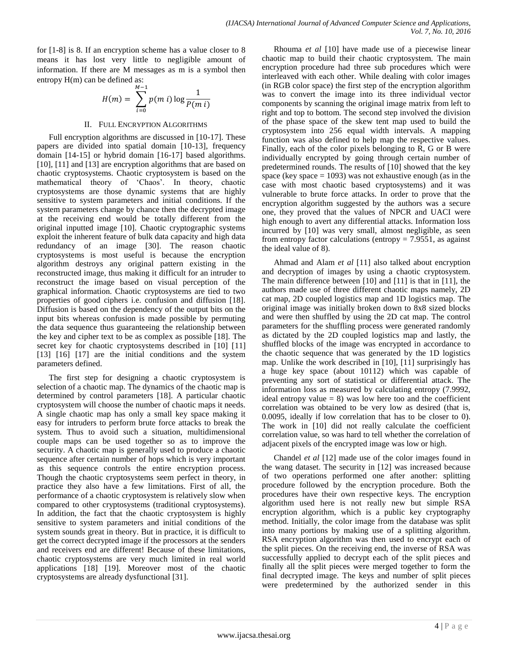for [1-8] is 8. If an encryption scheme has a value closer to 8 means it has lost very little to negligible amount of information. If there are M messages as m is a symbol then entropy H(m) can be defined as:

$$
H(m) = \sum_{i=0}^{M-1} p(m i) \log \frac{1}{P(m i)}
$$

#### II. FULL ENCRYPTION ALGORITHMS

Full encryption algorithms are discussed in [10-17]. These papers are divided into spatial domain [10-13], frequency domain [14-15] or hybrid domain [16-17] based algorithms. [10], [11] and [13] are encryption algorithms that are based on chaotic cryptosystems. Chaotic cryptosystem is based on the mathematical theory of ‗Chaos'. In theory, chaotic cryptosystems are those dynamic systems that are highly sensitive to system parameters and initial conditions. If the system parameters change by chance then the decrypted image at the receiving end would be totally different from the original inputted image [10]. Chaotic cryptographic systems exploit the inherent feature of bulk data capacity and high data redundancy of an image [30]. The reason chaotic cryptosystems is most useful is because the encryption algorithm destroys any original pattern existing in the reconstructed image, thus making it difficult for an intruder to reconstruct the image based on visual perception of the graphical information. Chaotic cryptosystems are tied to two properties of good ciphers i.e. confusion and diffusion [18]. Diffusion is based on the dependency of the output bits on the input bits whereas confusion is made possible by permuting the data sequence thus guaranteeing the relationship between the key and cipher text to be as complex as possible [18]. The secret key for chaotic cryptosystems described in [10] [11] [13] [16] [17] are the initial conditions and the system parameters defined.

The first step for designing a chaotic cryptosystem is selection of a chaotic map. The dynamics of the chaotic map is determined by control parameters [18]. A particular chaotic cryptosystem will choose the number of chaotic maps it needs. A single chaotic map has only a small key space making it easy for intruders to perform brute force attacks to break the system. Thus to avoid such a situation, multidimensional couple maps can be used together so as to improve the security. A chaotic map is generally used to produce a chaotic sequence after certain number of hops which is very important as this sequence controls the entire encryption process. Though the chaotic cryptosystems seem perfect in theory, in practice they also have a few limitations. First of all, the performance of a chaotic cryptosystem is relatively slow when compared to other cryptosystems (traditional cryptosystems). In addition, the fact that the chaotic cryptosystem is highly sensitive to system parameters and initial conditions of the system sounds great in theory. But in practice, it is difficult to get the correct decrypted image if the processors at the senders and receivers end are different! Because of these limitations, chaotic cryptosystems are very much limited in real world applications [18] [19]. Moreover most of the chaotic cryptosystems are already dysfunctional [31].

Rhouma *et al* [10] have made use of a piecewise linear chaotic map to build their chaotic cryptosystem. The main encryption procedure had three sub procedures which were interleaved with each other. While dealing with color images (in RGB color space) the first step of the encryption algorithm was to convert the image into its three individual vector components by scanning the original image matrix from left to right and top to bottom. The second step involved the division of the phase space of the skew tent map used to build the cryptosystem into 256 equal width intervals. A mapping function was also defined to help map the respective values. Finally, each of the color pixels belonging to R, G or B were individually encrypted by going through certain number of predetermined rounds. The results of [10] showed that the key space (key space  $= 1093$ ) was not exhaustive enough (as in the case with most chaotic based cryptosystems) and it was vulnerable to brute force attacks. In order to prove that the encryption algorithm suggested by the authors was a secure one, they proved that the values of NPCR and UACI were high enough to avert any differential attacks. Information loss incurred by [10] was very small, almost negligible, as seen from entropy factor calculations (entropy  $= 7.9551$ , as against the ideal value of 8).

Ahmad and Alam *et al* [11] also talked about encryption and decryption of images by using a chaotic cryptosystem. The main difference between [10] and [11] is that in [11], the authors made use of three different chaotic maps namely, 2D cat map, 2D coupled logistics map and 1D logistics map. The original image was initially broken down to 8x8 sized blocks and were then shuffled by using the 2D cat map. The control parameters for the shuffling process were generated randomly as dictated by the 2D coupled logistics map and lastly, the shuffled blocks of the image was encrypted in accordance to the chaotic sequence that was generated by the 1D logistics map. Unlike the work described in [10], [11] surprisingly has a huge key space (about 10112) which was capable of preventing any sort of statistical or differential attack. The information loss as measured by calculating entropy (7.9992, ideal entropy value  $= 8$ ) was low here too and the coefficient correlation was obtained to be very low as desired (that is, 0.0095, ideally if low correlation that has to be closer to 0). The work in [10] did not really calculate the coefficient correlation value, so was hard to tell whether the correlation of adjacent pixels of the encrypted image was low or high.

Chandel *et al* [12] made use of the color images found in the wang dataset. The security in [12] was increased because of two operations performed one after another: splitting procedure followed by the encryption procedure. Both the procedures have their own respective keys. The encryption algorithm used here is not really new but simple RSA encryption algorithm, which is a public key cryptography method. Initially, the color image from the database was split into many portions by making use of a splitting algorithm. RSA encryption algorithm was then used to encrypt each of the split pieces. On the receiving end, the inverse of RSA was successfully applied to decrypt each of the split pieces and finally all the split pieces were merged together to form the final decrypted image. The keys and number of split pieces were predetermined by the authorized sender in this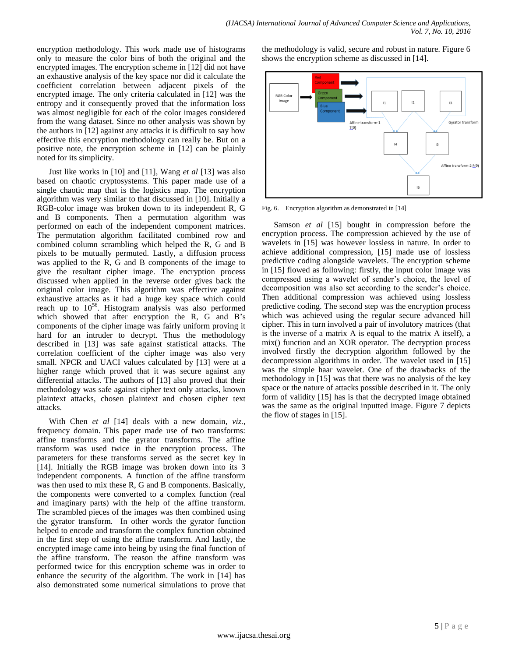encryption methodology. This work made use of histograms only to measure the color bins of both the original and the encrypted images. The encryption scheme in [12] did not have an exhaustive analysis of the key space nor did it calculate the coefficient correlation between adjacent pixels of the encrypted image. The only criteria calculated in [12] was the entropy and it consequently proved that the information loss was almost negligible for each of the color images considered from the wang dataset. Since no other analysis was shown by the authors in [12] against any attacks it is difficult to say how effective this encryption methodology can really be. But on a positive note, the encryption scheme in [12] can be plainly noted for its simplicity.

Just like works in [10] and [11], Wang *et al* [13] was also based on chaotic cryptosystems. This paper made use of a single chaotic map that is the logistics map. The encryption algorithm was very similar to that discussed in [10]. Initially a RGB-color image was broken down to its independent R, G and B components. Then a permutation algorithm was performed on each of the independent component matrices. The permutation algorithm facilitated combined row and combined column scrambling which helped the R, G and B pixels to be mutually permuted. Lastly, a diffusion process was applied to the R, G and B components of the image to give the resultant cipher image. The encryption process discussed when applied in the reverse order gives back the original color image. This algorithm was effective against exhaustive attacks as it had a huge key space which could reach up to  $10^{56}$ . Histogram analysis was also performed which showed that after encryption the R, G and B's components of the cipher image was fairly uniform proving it hard for an intruder to decrypt. Thus the methodology described in [13] was safe against statistical attacks. The correlation coefficient of the cipher image was also very small. NPCR and UACI values calculated by [13] were at a higher range which proved that it was secure against any differential attacks. The authors of [13] also proved that their methodology was safe against cipher text only attacks, known plaintext attacks, chosen plaintext and chosen cipher text attacks.

With Chen *et al* [14] deals with a new domain, *viz.,* frequency domain. This paper made use of two transforms: affine transforms and the gyrator transforms. The affine transform was used twice in the encryption process. The parameters for these transforms served as the secret key in [14]. Initially the RGB image was broken down into its 3 independent components. A function of the affine transform was then used to mix these R, G and B components. Basically, the components were converted to a complex function (real and imaginary parts) with the help of the affine transform. The scrambled pieces of the images was then combined using the gyrator transform. In other words the gyrator function helped to encode and transform the complex function obtained in the first step of using the affine transform. And lastly, the encrypted image came into being by using the final function of the affine transform. The reason the affine transform was performed twice for this encryption scheme was in order to enhance the security of the algorithm. The work in [14] has also demonstrated some numerical simulations to prove that the methodology is valid, secure and robust in nature. Figure 6 shows the encryption scheme as discussed in [14].



Fig. 6. Encryption algorithm as demonstrated in [14]

Samson *et al* [15] bought in compression before the encryption process. The compression achieved by the use of wavelets in [15] was however lossless in nature. In order to achieve additional compression, [15] made use of lossless predictive coding alongside wavelets. The encryption scheme in [15] flowed as following: firstly, the input color image was compressed using a wavelet of sender's choice, the level of decomposition was also set according to the sender's choice. Then additional compression was achieved using lossless predictive coding. The second step was the encryption process which was achieved using the regular secure advanced hill cipher. This in turn involved a pair of involutory matrices (that is the inverse of a matrix A is equal to the matrix A itself), a mix() function and an XOR operator. The decryption process involved firstly the decryption algorithm followed by the decompression algorithms in order. The wavelet used in [15] was the simple haar wavelet. One of the drawbacks of the methodology in [15] was that there was no analysis of the key space or the nature of attacks possible described in it. The only form of validity [15] has is that the decrypted image obtained was the same as the original inputted image. Figure 7 depicts the flow of stages in [15].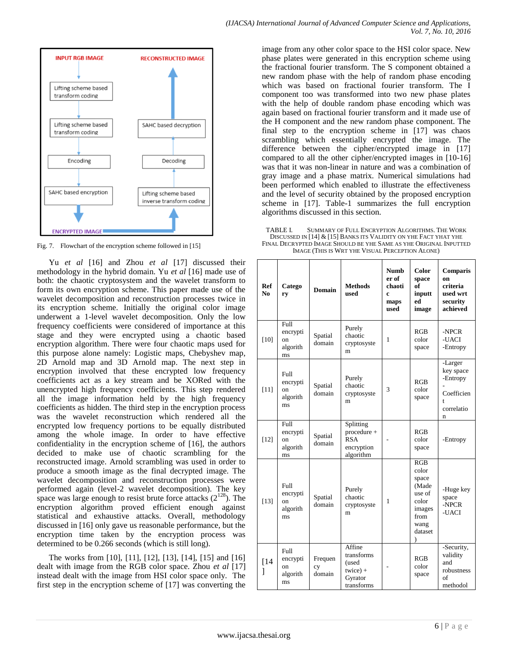

Fig. 7. Flowchart of the encryption scheme followed in [15]

Yu *et al* [16] and Zhou *et al* [17] discussed their methodology in the hybrid domain. Yu *et al* [16] made use of both: the chaotic cryptosystem and the wavelet transform to form its own encryption scheme. This paper made use of the wavelet decomposition and reconstruction processes twice in its encryption scheme. Initially the original color image underwent a 1-level wavelet decomposition. Only the low frequency coefficients were considered of importance at this stage and they were encrypted using a chaotic based encryption algorithm. There were four chaotic maps used for this purpose alone namely: Logistic maps, Chebyshev map, 2D Arnold map and 3D Arnold map. The next step in encryption involved that these encrypted low frequency coefficients act as a key stream and be XORed with the unencrypted high frequency coefficients. This step rendered all the image information held by the high frequency coefficients as hidden. The third step in the encryption process was the wavelet reconstruction which rendered all the encrypted low frequency portions to be equally distributed among the whole image. In order to have effective confidentiality in the encryption scheme of [16], the authors decided to make use of chaotic scrambling for the reconstructed image. Arnold scrambling was used in order to produce a smooth image as the final decrypted image. The wavelet decomposition and reconstruction processes were performed again (level-2 wavelet decomposition). The key space was large enough to resist brute force attacks  $(2^{128})$ . The encryption algorithm proved efficient enough against statistical and exhaustive attacks. Overall, methodology discussed in [16] only gave us reasonable performance, but the encryption time taken by the encryption process was determined to be 0.266 seconds (which is still long).

The works from [10], [11], [12], [13], [14], [15] and [16] dealt with image from the RGB color space. Zhou *et al* [17] instead dealt with the image from HSI color space only. The first step in the encryption scheme of [17] was converting the image from any other color space to the HSI color space. New phase plates were generated in this encryption scheme using the fractional fourier transform. The S component obtained a new random phase with the help of random phase encoding which was based on fractional fourier transform. The I component too was transformed into two new phase plates with the help of double random phase encoding which was again based on fractional fourier transform and it made use of the H component and the new random phase component. The final step to the encryption scheme in [17] was chaos scrambling which essentially encrypted the image. The difference between the cipher/encrypted image in [17] compared to all the other cipher/encrypted images in [10-16] was that it was non-linear in nature and was a combination of gray image and a phase matrix. Numerical simulations had been performed which enabled to illustrate the effectiveness and the level of security obtained by the proposed encryption scheme in [17]. Table-1 summarizes the full encryption algorithms discussed in this section.

TABLE I. SUMMARY OF FULL ENCRYPTION ALGORITHMS. THE WORK DISCUSSED IN [14] & [15] BANKS ITS VALIDITY ON YHE FACT YHAT YHE FINAL DECRYPTED IMAGE SHOULD BE YHE SAME AS YHE ORIGINAL INPUTTED IMAGE (THIS IS WRT YHE VISUAL PERCEPTION ALONE)

| Ref<br>N <sub>0</sub> | Catego<br>ry                                        | Domain                  | <b>Methods</b><br>used                                               | <b>Numb</b><br>er of<br>chaoti<br>c<br>maps<br>used | Color<br>space<br>of<br>inputt<br>ed<br>image                                                       | <b>Comparis</b><br>on<br>criteria<br>used wrt<br>security<br>achieved  |
|-----------------------|-----------------------------------------------------|-------------------------|----------------------------------------------------------------------|-----------------------------------------------------|-----------------------------------------------------------------------------------------------------|------------------------------------------------------------------------|
| $[10]$                | Full<br>encrypti<br>on<br>algorith<br>ms            | Spatial<br>domain       | Purely<br>chaotic<br>cryptosyste<br>m                                | 1                                                   | RGB<br>color<br>space                                                                               | -NPCR<br>-UACI<br>-Entropy                                             |
| $[11]$                | Full<br>encrypti<br><sub>on</sub><br>algorith<br>ms | Spatial<br>domain       | Purely<br>chaotic<br>cryptosyste<br>m                                | 3                                                   | RGB<br>color<br>space                                                                               | -Larger<br>key space<br>-Entropy<br>Coefficien<br>t<br>correlatio<br>n |
| $[12]$                | Full<br>encrypti<br>on<br>algorith<br>ms            | Spatial<br>domain       | Splitting<br>procedure +<br><b>RSA</b><br>encryption<br>algorithm    |                                                     | RGB<br>color<br>space                                                                               | -Entropy                                                               |
| $[13]$                | Full<br>encrypti<br>on<br>algorith<br>ms            | Spatial<br>domain       | Purely<br>chaotic<br>cryptosyste<br>m                                | 1                                                   | RGB<br>color<br>space<br>(Made<br>use of<br>color<br>images<br>from<br>wang<br>dataset<br>$\lambda$ | -Huge key<br>space<br>-NPCR<br>-UACI                                   |
| [14]<br>1             | Full<br>encrypti<br>on<br>algorith<br>ms            | Frequen<br>cy<br>domain | Affine<br>transforms<br>(used<br>$twice) +$<br>Gyrator<br>transforms |                                                     | RGB<br>color<br>space                                                                               | -Security,<br>validity<br>and<br>robustness<br>of<br>methodol          |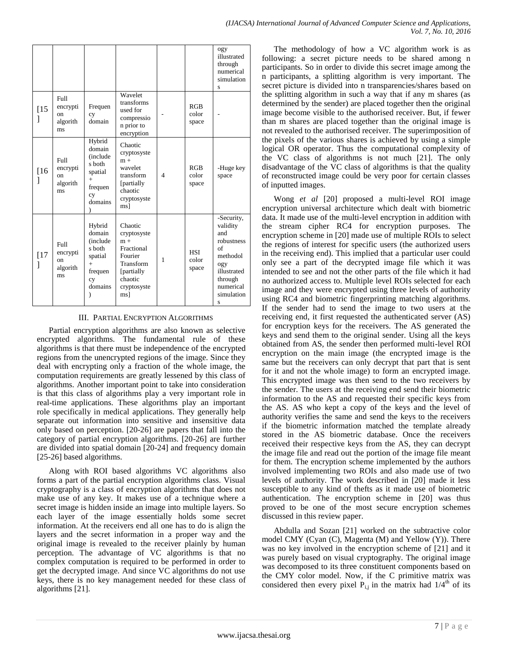|             |                                                              |                                                                                                 |                                                                                                                      |                |                              | ogy<br>illustrated<br>through<br>numerical<br>simulation<br>S                                                                  |
|-------------|--------------------------------------------------------------|-------------------------------------------------------------------------------------------------|----------------------------------------------------------------------------------------------------------------------|----------------|------------------------------|--------------------------------------------------------------------------------------------------------------------------------|
| $[15]$<br>1 | Full<br>encrypti<br>$_{\rm on}$<br>algorith<br>ms            | Frequen<br>cy<br>domain                                                                         | Wavelet<br>transforms<br>used for<br>compressio<br>n prior to<br>encryption                                          |                | RGB<br>color<br>space        |                                                                                                                                |
| [16<br>1    | F <sub>II</sub><br>encrypti<br>$_{\rm on}$<br>algorith<br>ms | Hybrid<br>domain<br>(include<br>s both<br>spatial<br>$+$<br>frequen<br>cy<br>domains            | Chaotic<br>cryptosyste<br>$m +$<br>wavelet<br>transform<br>[partially<br>chaotic<br>cryptosyste<br>ms]               | $\overline{4}$ | RGB<br>color<br>space        | -Huge key<br>space                                                                                                             |
| $[17$<br>1  | Full<br>encrypti<br>on.<br>algorith<br>ms                    | Hybrid<br>domain<br><i>(include)</i><br>s both<br>spatial<br>$^{+}$<br>frequen<br>cy<br>domains | Chaotic<br>cryptosyste<br>$m +$<br>Fractional<br>Fourier<br>Transform<br>[partially<br>chaotic<br>cryptosyste<br>msl | $\mathbf{1}$   | <b>HSI</b><br>color<br>space | -Security,<br>validity<br>and<br>robustness<br>of<br>methodol<br>ogy<br>illustrated<br>through<br>numerical<br>simulation<br>S |

## III. PARTIAL ENCRYPTION ALGORITHMS

Partial encryption algorithms are also known as selective encrypted algorithms. The fundamental rule of these algorithms is that there must be independence of the encrypted regions from the unencrypted regions of the image. Since they deal with encrypting only a fraction of the whole image, the computation requirements are greatly lessened by this class of algorithms. Another important point to take into consideration is that this class of algorithms play a very important role in real-time applications. These algorithms play an important role specifically in medical applications. They generally help separate out information into sensitive and insensitive data only based on perception. [20-26] are papers that fall into the category of partial encryption algorithms. [20-26] are further are divided into spatial domain [20-24] and frequency domain [25-26] based algorithms.

Along with ROI based algorithms VC algorithms also forms a part of the partial encryption algorithms class. Visual cryptography is a class of encryption algorithms that does not make use of any key. It makes use of a technique where a secret image is hidden inside an image into multiple layers. So each layer of the image essentially holds some secret information. At the receivers end all one has to do is align the layers and the secret information in a proper way and the original image is revealed to the receiver plainly by human perception. The advantage of VC algorithms is that no complex computation is required to be performed in order to get the decrypted image. And since VC algorithms do not use keys, there is no key management needed for these class of algorithms [21].

The methodology of how a VC algorithm work is as following: a secret picture needs to be shared among n participants. So in order to divide this secret image among the n participants, a splitting algorithm is very important. The secret picture is divided into n transparencies/shares based on the splitting algorithm in such a way that if any m shares (as determined by the sender) are placed together then the original image become visible to the authorised receiver. But, if fewer than m shares are placed together than the original image is not revealed to the authorised receiver. The superimposition of the pixels of the various shares is achieved by using a simple logical OR operator. Thus the computational complexity of the VC class of algorithms is not much [21]. The only disadvantage of the VC class of algorithms is that the quality of reconstructed image could be very poor for certain classes of inputted images.

Wong *et al* [20] proposed a multi-level ROI image encryption universal architecture which dealt with biometric data. It made use of the multi-level encryption in addition with the stream cipher RC4 for encryption purposes. The encryption scheme in [20] made use of multiple ROIs to select the regions of interest for specific users (the authorized users in the receiving end). This implied that a particular user could only see a part of the decrypted image file which it was intended to see and not the other parts of the file which it had no authorized access to. Multiple level ROIs selected for each image and they were encrypted using three levels of authority using RC4 and biometric fingerprinting matching algorithms. If the sender had to send the image to two users at the receiving end, it first requested the authenticated server (AS) for encryption keys for the receivers. The AS generated the keys and send them to the original sender. Using all the keys obtained from AS, the sender then performed multi-level ROI encryption on the main image (the encrypted image is the same but the receivers can only decrypt that part that is sent for it and not the whole image) to form an encrypted image. This encrypted image was then send to the two receivers by the sender. The users at the receiving end send their biometric information to the AS and requested their specific keys from the AS. AS who kept a copy of the keys and the level of authority verifies the same and send the keys to the receivers if the biometric information matched the template already stored in the AS biometric database. Once the receivers received their respective keys from the AS, they can decrypt the image file and read out the portion of the image file meant for them. The encryption scheme implemented by the authors involved implementing two ROIs and also made use of two levels of authority. The work described in [20] made it less susceptible to any kind of thefts as it made use of biometric authentication. The encryption scheme in [20] was thus proved to be one of the most secure encryption schemes discussed in this review paper.

Abdulla and Sozan [21] worked on the subtractive color model CMY (Cyan (C), Magenta (M) and Yellow (Y)). There was no key involved in the encryption scheme of [21] and it was purely based on visual cryptography. The original image was decomposed to its three constituent components based on the CMY color model. Now, if the C primitive matrix was considered then every pixel  $P_{i,j}$  in the matrix had  $1/4^{th}$  of its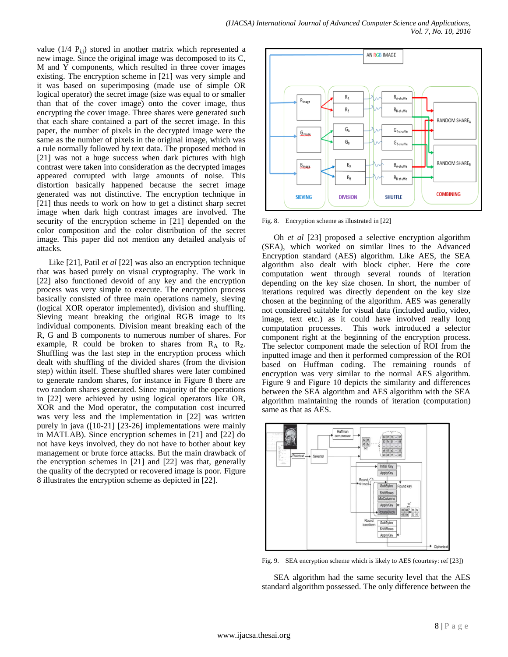value (1/4  $P_{i,j}$ ) stored in another matrix which represented a new image. Since the original image was decomposed to its C, M and Y components, which resulted in three cover images existing. The encryption scheme in [21] was very simple and it was based on superimposing (made use of simple OR logical operator) the secret image (size was equal to or smaller than that of the cover image) onto the cover image, thus encrypting the cover image. Three shares were generated such that each share contained a part of the secret image. In this paper, the number of pixels in the decrypted image were the same as the number of pixels in the original image, which was a rule normally followed by text data. The proposed method in [21] was not a huge success when dark pictures with high contrast were taken into consideration as the decrypted images appeared corrupted with large amounts of noise. This distortion basically happened because the secret image generated was not distinctive. The encryption technique in [21] thus needs to work on how to get a distinct sharp secret image when dark high contrast images are involved. The security of the encryption scheme in [21] depended on the color composition and the color distribution of the secret image. This paper did not mention any detailed analysis of attacks.

Like [21], Patil *et al* [22] was also an encryption technique that was based purely on visual cryptography. The work in [22] also functioned devoid of any key and the encryption process was very simple to execute. The encryption process basically consisted of three main operations namely, sieving (logical XOR operator implemented), division and shuffling. Sieving meant breaking the original RGB image to its individual components. Division meant breaking each of the R, G and B components to numerous number of shares. For example, R could be broken to shares from  $R_A$  to  $R_Z$ . Shuffling was the last step in the encryption process which dealt with shuffling of the divided shares (from the division step) within itself. These shuffled shares were later combined to generate random shares, for instance in Figure 8 there are two random shares generated. Since majority of the operations in [22] were achieved by using logical operators like OR, XOR and the Mod operator, the computation cost incurred was very less and the implementation in [22] was written purely in java ([10-21] [23-26] implementations were mainly in MATLAB). Since encryption schemes in [21] and [22] do not have keys involved, they do not have to bother about key management or brute force attacks. But the main drawback of the encryption schemes in [21] and [22] was that, generally the quality of the decrypted or recovered image is poor. Figure 8 illustrates the encryption scheme as depicted in [22].



Fig. 8. Encryption scheme as illustrated in [22]

Oh *et al* [23] proposed a selective encryption algorithm (SEA), which worked on similar lines to the Advanced Encryption standard (AES) algorithm. Like AES, the SEA algorithm also dealt with block cipher. Here the core computation went through several rounds of iteration depending on the key size chosen. In short, the number of iterations required was directly dependent on the key size chosen at the beginning of the algorithm. AES was generally not considered suitable for visual data (included audio, video, image, text etc.) as it could have involved really long computation processes. This work introduced a selector component right at the beginning of the encryption process. The selector component made the selection of ROI from the inputted image and then it performed compression of the ROI based on Huffman coding. The remaining rounds of encryption was very similar to the normal AES algorithm. Figure 9 and Figure 10 depicts the similarity and differences between the SEA algorithm and AES algorithm with the SEA algorithm maintaining the rounds of iteration (computation) same as that as AES.



Fig. 9. SEA encryption scheme which is likely to AES (courtesy: ref [23])

SEA algorithm had the same security level that the AES standard algorithm possessed. The only difference between the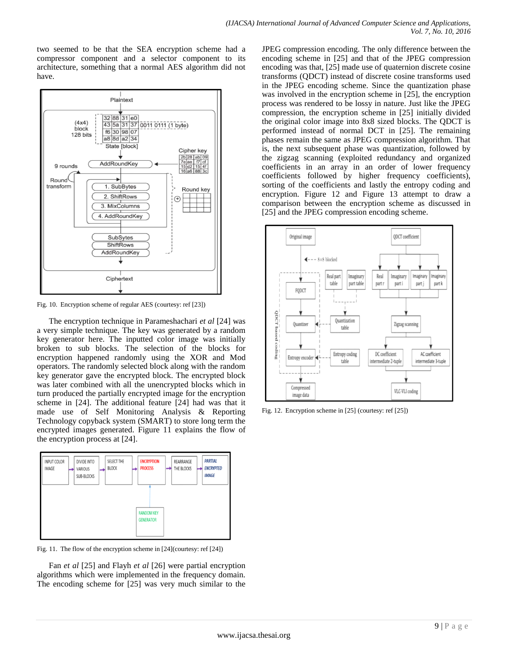two seemed to be that the SEA encryption scheme had a compressor component and a selector component to its architecture, something that a normal AES algorithm did not have.



Fig. 10. Encryption scheme of regular AES (courtesy: ref [23])

The encryption technique in Parameshachari *et al* [24] was a very simple technique. The key was generated by a random key generator here. The inputted color image was initially broken to sub blocks. The selection of the blocks for encryption happened randomly using the XOR and Mod operators. The randomly selected block along with the random key generator gave the encrypted block. The encrypted block was later combined with all the unencrypted blocks which in turn produced the partially encrypted image for the encryption scheme in [24]. The additional feature [24] had was that it made use of Self Monitoring Analysis & Reporting Technology copyback system (SMART) to store long term the encrypted images generated. Figure 11 explains the flow of the encryption process at [24].



Fig. 11. The flow of the encryption scheme in [24](courtesy: ref [24])

Fan *et al* [25] and Flayh *et al* [26] were partial encryption algorithms which were implemented in the frequency domain. The encoding scheme for [25] was very much similar to the JPEG compression encoding. The only difference between the encoding scheme in [25] and that of the JPEG compression encoding was that, [25] made use of quaternion discrete cosine transforms (QDCT) instead of discrete cosine transforms used in the JPEG encoding scheme. Since the quantization phase was involved in the encryption scheme in [25], the encryption process was rendered to be lossy in nature. Just like the JPEG compression, the encryption scheme in [25] initially divided the original color image into 8x8 sized blocks. The QDCT is performed instead of normal DCT in [25]. The remaining phases remain the same as JPEG compression algorithm. That is, the next subsequent phase was quantization, followed by the zigzag scanning (exploited redundancy and organized coefficients in an array in an order of lower frequency coefficients followed by higher frequency coefficients), sorting of the coefficients and lastly the entropy coding and encryption. Figure 12 and Figure 13 attempt to draw a comparison between the encryption scheme as discussed in [25] and the JPEG compression encoding scheme.



Fig. 12. Encryption scheme in [25] (courtesy: ref [25])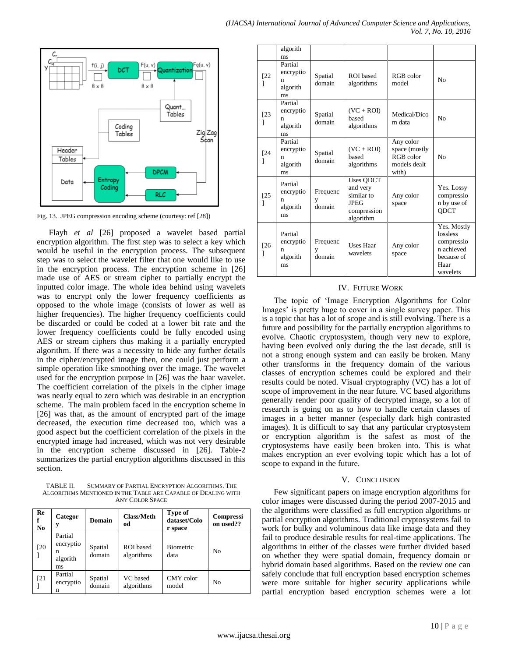

Fig. 13. JPEG compression encoding scheme (courtesy: ref [28])

Flayh *et al* [26] proposed a wavelet based partial encryption algorithm. The first step was to select a key which would be useful in the encryption process. The subsequent step was to select the wavelet filter that one would like to use in the encryption process. The encryption scheme in [26] made use of AES or stream cipher to partially encrypt the inputted color image. The whole idea behind using wavelets was to encrypt only the lower frequency coefficients as opposed to the whole image (consists of lower as well as higher frequencies). The higher frequency coefficients could be discarded or could be coded at a lower bit rate and the lower frequency coefficients could be fully encoded using AES or stream ciphers thus making it a partially encrypted algorithm. If there was a necessity to hide any further details in the cipher/encrypted image then, one could just perform a simple operation like smoothing over the image. The wavelet used for the encryption purpose in [26] was the haar wavelet. The coefficient correlation of the pixels in the cipher image was nearly equal to zero which was desirable in an encryption scheme. The main problem faced in the encryption scheme in [26] was that, as the amount of encrypted part of the image decreased, the execution time decreased too, which was a good aspect but the coefficient correlation of the pixels in the encrypted image had increased, which was not very desirable in the encryption scheme discussed in [26]. Table-2 summarizes the partial encryption algorithms discussed in this section.

TABLE II. SUMMARY OF PARTIAL ENCRYPTION ALGORITHMS. THE ALGORITHMS MENTIONED IN THE TABLE ARE CAPABLE OF DEALING WITH ANY COLOR SPACE

| Re<br>f<br>N <sub>0</sub> | Categor<br>у                                | Domain            | <b>Class/Meth</b><br>od | Type of<br>dataset/Colo<br>r space | <b>Compressi</b><br>on used?? |
|---------------------------|---------------------------------------------|-------------------|-------------------------|------------------------------------|-------------------------------|
| [20]                      | Partial<br>encryptio<br>n<br>algorith<br>ms | Spatial<br>domain | ROI based<br>algorithms | <b>Biometric</b><br>data           | N <sub>0</sub>                |
| $[21]$                    | Partial<br>encryptio<br>n                   | Spatial<br>domain | VC based<br>algorithms  | CMY color<br>model                 | N <sub>0</sub>                |

|             | algorith<br>ms                              |                         |                                                                                |                                                                  |                                                                                       |
|-------------|---------------------------------------------|-------------------------|--------------------------------------------------------------------------------|------------------------------------------------------------------|---------------------------------------------------------------------------------------|
| $[22]$<br>1 | Partial<br>encryptio<br>n<br>algorith<br>ms | Spatial<br>domain       | ROI based<br>algorithms                                                        | RGB color<br>model                                               | No                                                                                    |
| $[23]$<br>1 | Partial<br>encryptio<br>n<br>algorith<br>ms | Spatial<br>domain       | $(VC + ROI)$<br>based<br>algorithms                                            | Medical/Dico<br>m data                                           | N <sub>0</sub>                                                                        |
| [24]        | Partial<br>encryptio<br>n<br>algorith<br>ms | Spatial<br>domain       | $(VC + ROI)$<br>based<br>algorithms                                            | Any color<br>space (mostly<br>RGB color<br>models dealt<br>with) | N <sub>0</sub>                                                                        |
| $[25$<br>1  | Partial<br>encryptio<br>n<br>algorith<br>ms | Frequenc<br>y<br>domain | Uses QDCT<br>and very<br>similar to<br><b>JPEG</b><br>compression<br>algorithm | Any color<br>space                                               | Yes. Lossy<br>compressio<br>n by use of<br><b>ODCT</b>                                |
| [26<br>1    | Partial<br>encryptio<br>n<br>algorith<br>ms | Frequenc<br>y<br>domain | <b>Uses Haar</b><br>wavelets                                                   | Any color<br>space                                               | Yes. Mostly<br>lossless<br>compressio<br>n achieved<br>because of<br>Haar<br>wavelets |

# IV. FUTURE WORK

The topic of 'Image Encryption Algorithms for Color Images' is pretty huge to cover in a single survey paper. This is a topic that has a lot of scope and is still evolving. There is a future and possibility for the partially encryption algorithms to evolve. Chaotic cryptosystem, though very new to explore, having been evolved only during the the last decade, still is not a strong enough system and can easily be broken. Many other transforms in the frequency domain of the various classes of encryption schemes could be explored and their results could be noted. Visual cryptography (VC) has a lot of scope of improvement in the near future. VC based algorithms generally render poor quality of decrypted image, so a lot of research is going on as to how to handle certain classes of images in a better manner (especially dark high contrasted images). It is difficult to say that any particular cryptosystem or encryption algorithm is the safest as most of the cryptosystems have easily been broken into. This is what makes encryption an ever evolving topic which has a lot of scope to expand in the future.

#### V. CONCLUSION

Few significant papers on image encryption algorithms for color images were discussed during the period 2007-2015 and the algorithms were classified as full encryption algorithms or partial encryption algorithms. Traditional cryptosystems fail to work for bulky and voluminous data like image data and they fail to produce desirable results for real-time applications. The algorithms in either of the classes were further divided based on whether they were spatial domain, frequency domain or hybrid domain based algorithms. Based on the review one can safely conclude that full encryption based encryption schemes were more suitable for higher security applications while partial encryption based encryption schemes were a lot